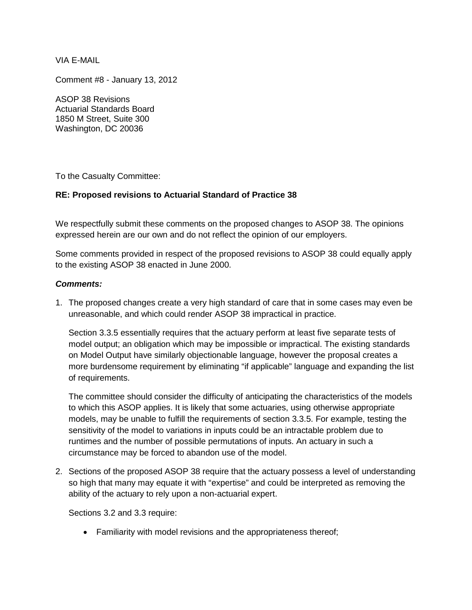VIA E-MAIL

Comment #8 - January 13, 2012

ASOP 38 Revisions Actuarial Standards Board 1850 M Street, Suite 300 Washington, DC 20036

To the Casualty Committee:

## **RE: Proposed revisions to Actuarial Standard of Practice 38**

We respectfully submit these comments on the proposed changes to ASOP 38. The opinions expressed herein are our own and do not reflect the opinion of our employers.

Some comments provided in respect of the proposed revisions to ASOP 38 could equally apply to the existing ASOP 38 enacted in June 2000.

## *Comments:*

1. The proposed changes create a very high standard of care that in some cases may even be unreasonable, and which could render ASOP 38 impractical in practice.

Section 3.3.5 essentially requires that the actuary perform at least five separate tests of model output; an obligation which may be impossible or impractical. The existing standards on Model Output have similarly objectionable language, however the proposal creates a more burdensome requirement by eliminating "if applicable" language and expanding the list of requirements.

The committee should consider the difficulty of anticipating the characteristics of the models to which this ASOP applies. It is likely that some actuaries, using otherwise appropriate models, may be unable to fulfill the requirements of section 3.3.5. For example, testing the sensitivity of the model to variations in inputs could be an intractable problem due to runtimes and the number of possible permutations of inputs. An actuary in such a circumstance may be forced to abandon use of the model.

2. Sections of the proposed ASOP 38 require that the actuary possess a level of understanding so high that many may equate it with "expertise" and could be interpreted as removing the ability of the actuary to rely upon a non-actuarial expert.

Sections 3.2 and 3.3 require:

• Familiarity with model revisions and the appropriateness thereof;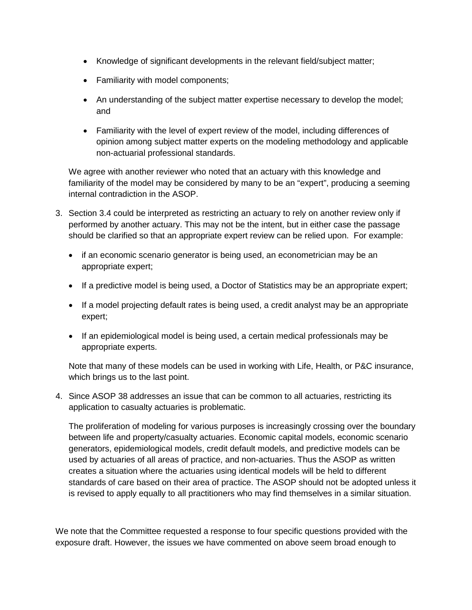- Knowledge of significant developments in the relevant field/subject matter;
- Familiarity with model components;
- An understanding of the subject matter expertise necessary to develop the model; and
- Familiarity with the level of expert review of the model, including differences of opinion among subject matter experts on the modeling methodology and applicable non-actuarial professional standards.

We agree with another reviewer who noted that an actuary with this knowledge and familiarity of the model may be considered by many to be an "expert", producing a seeming internal contradiction in the ASOP.

- 3. Section 3.4 could be interpreted as restricting an actuary to rely on another review only if performed by another actuary. This may not be the intent, but in either case the passage should be clarified so that an appropriate expert review can be relied upon. For example:
	- if an economic scenario generator is being used, an econometrician may be an appropriate expert;
	- If a predictive model is being used, a Doctor of Statistics may be an appropriate expert;
	- If a model projecting default rates is being used, a credit analyst may be an appropriate expert;
	- If an epidemiological model is being used, a certain medical professionals may be appropriate experts.

Note that many of these models can be used in working with Life, Health, or P&C insurance, which brings us to the last point.

4. Since ASOP 38 addresses an issue that can be common to all actuaries, restricting its application to casualty actuaries is problematic.

The proliferation of modeling for various purposes is increasingly crossing over the boundary between life and property/casualty actuaries. Economic capital models, economic scenario generators, epidemiological models, credit default models, and predictive models can be used by actuaries of all areas of practice, and non-actuaries. Thus the ASOP as written creates a situation where the actuaries using identical models will be held to different standards of care based on their area of practice. The ASOP should not be adopted unless it is revised to apply equally to all practitioners who may find themselves in a similar situation.

We note that the Committee requested a response to four specific questions provided with the exposure draft. However, the issues we have commented on above seem broad enough to